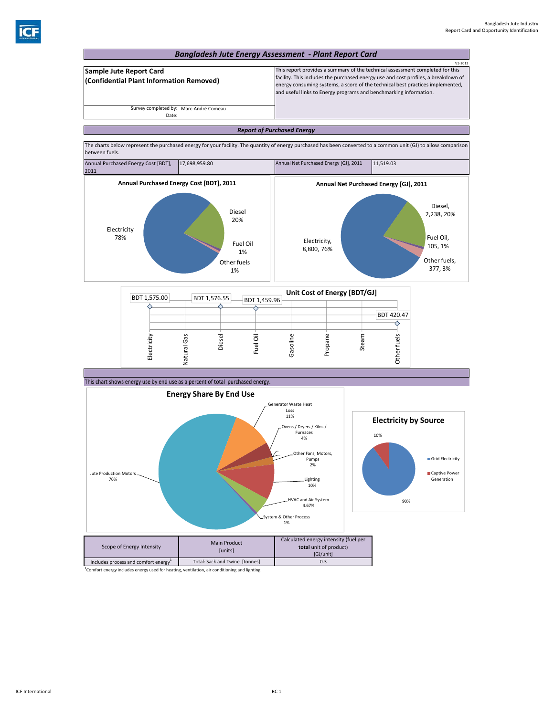

<sup>1</sup>Comfort energy includes energy used for heating, ventilation, air conditioning and lighting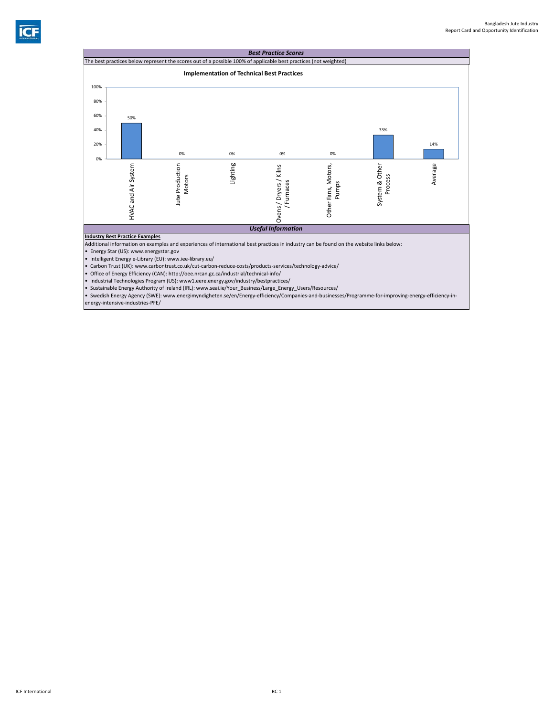

• Carbon Trust (UK): www.carbontrust.co.uk/cut‐carbon‐reduce‐costs/products‐services/technology‐advice/

• Office of Energy Efficiency (CAN): http://oee.nrcan.gc.ca/industrial/technical‐info/

• Industrial Technologies Program (US): www1.eere.energy.gov/industry/bestpractices/

• Sustainable Energy Authority of Ireland (IRL): www.seai.ie/Your\_Business/Large\_Energy\_Users/Resources/

• Swedish Energy Agency (SWE): www.energimyndigheten.se/en/Energy‐efficiency/Companies‐and‐businesses/Programme‐for‐improving‐energy‐efficiency‐in‐ energy‐intensive‐industries‐PFE/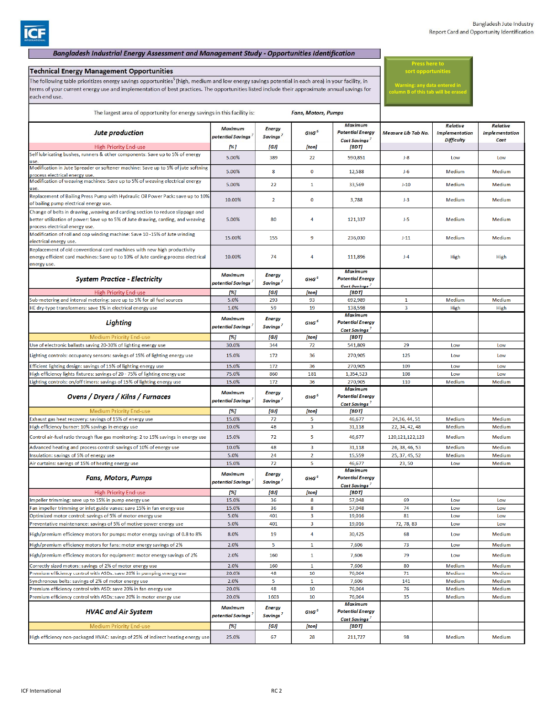## Bangladesh Industrial Energy Assessment and Management Study - Opportunities Identification

## **Technical Energy Management Opportunities**

The following table prioritizes energy savings opportunities<sup>5</sup> (high, medium and low energy savings potential in each area) in your facility, in terms of your current energy use and implementation of best practices. The opportunities listed include their approximate annual savings for each end use.

**Press here to sort opportunities**

**Warning: any data entered in column B of this tab will be erased**

| The largest area of opportunity for energy savings in this facility is:                                                                                       |                                                         |                                               |                         | <b>Fans, Motors, Pumps</b>                                                  |                         |                                                        |                                                  |
|---------------------------------------------------------------------------------------------------------------------------------------------------------------|---------------------------------------------------------|-----------------------------------------------|-------------------------|-----------------------------------------------------------------------------|-------------------------|--------------------------------------------------------|--------------------------------------------------|
| <b>Jute production</b><br><b>High Priority End-use</b>                                                                                                        | <b>Maximum</b><br>potential Savings <sup>7</sup><br>[%] | <b>Energy</b><br>Savings <sup>7</sup><br>[GJ] | $GHG^6$<br>[ton]        | <b>Maximum</b><br><b>Potential Energy</b><br>Cost Savings<br>[BDT]          | Measure Lib Tab No.     | <b>Relative</b><br>Implementation<br><b>Difficulty</b> | <b>Relative</b><br><b>Implementation</b><br>Cost |
| Self lubricating bushes, runners & other components: Save up to 5% of energy                                                                                  | 5.00%                                                   | 389                                           | 22                      | 590,851                                                                     | $J-8$                   | Low                                                    | Low                                              |
| Modification in Jute Spreader or softener machine: Save up to 5% of jute softning                                                                             |                                                         |                                               |                         |                                                                             |                         |                                                        |                                                  |
| process electrical energy use.                                                                                                                                | 5.00%                                                   | 8                                             | $\bf{0}$                | 12,588                                                                      | $J-6$                   | Medium                                                 | Medium                                           |
| Modification of weaving machines: Save up to 5% of weaving electrical energy                                                                                  | 5.00%                                                   | 22                                            | 1                       | 33,569                                                                      | $J-10$                  | Medium                                                 | Medium                                           |
| Replacement of Bailing Press Pump with Hydraulic Oil Power Pack: save up to 10%<br>of bailing pump electrical energy use.                                     | 10.00%                                                  | $\overline{2}$                                | $\bf{0}$                | 3,788                                                                       | $J-3$                   | Medium                                                 | Medium                                           |
| Change of belts in drawing, weaving and carding section to reduce slippage and                                                                                |                                                         |                                               |                         |                                                                             |                         |                                                        |                                                  |
| better utilization of power: Save up to 5% of Jute drawing, carding, and weaving<br>process electrical energy use.                                            | 5.00%                                                   | 80                                            | 4                       | 121,337                                                                     | $J-5$                   | Medium                                                 | Medium                                           |
| Modification of roll and cop winding machine: Save 10 -15% of Jute winding<br>electrical energy use.                                                          | 15.00%                                                  | 155                                           | 9                       | 236,030                                                                     | $J-11$                  | Medium                                                 | Medium                                           |
| Replacement of old conventional card machines with new high productivity<br>energy efficient card machines: Save up to 10% of Jute carding process electrical | 10.00%                                                  | 74                                            | 4                       | 111,896                                                                     | $J-4$                   | <b>High</b>                                            | High                                             |
| energy use.<br><b>System Practice - Electricity</b>                                                                                                           | <b>Maximum</b><br>potential Savings'                    | <b>Energy</b><br>Savings <sup>1</sup>         | GHG <sup>6</sup>        | <b>Maximum</b><br><b>Potential Energy</b><br>Cost Savings'                  |                         |                                                        |                                                  |
| <b>High Priority End-use</b>                                                                                                                                  | [%]                                                     | [GJ]                                          | [ton]                   | [BDT]                                                                       |                         |                                                        |                                                  |
| Sub-metering and interval metering: save up to 5% for all fuel sources                                                                                        | 5.0%                                                    | 293                                           | 93                      | 692,989                                                                     | $\mathbf{1}$            | Medium                                                 | Medium                                           |
| HE dry-type transformers: save 1% in electrical energy use<br>Lighting                                                                                        | 1.0%<br><b>Maximum</b><br>potential Savings '           | 59<br><b>Energy</b><br>Savings'               | 19<br>GHG <sup>6</sup>  | 138,598<br><b>Maximum</b><br><b>Potential Energy</b><br><b>Cost Savings</b> | $\overline{\mathbf{3}}$ | High                                                   | High                                             |
| <b>Medium Priority End-use</b>                                                                                                                                | [%]                                                     | [GJ]                                          | [ton]                   | [BDT]                                                                       |                         |                                                        |                                                  |
| Use of electronic ballasts saving 20-30% of lighting energy use                                                                                               | 30.0%                                                   | 344                                           | 72                      | 541,809                                                                     | 29                      | Low                                                    | Low                                              |
| Lighting controls: occupancy sensors: savings of 15% of lighting energy use                                                                                   | 15.0%                                                   | 172                                           | 36                      | 270,905                                                                     | 125                     | Low                                                    | Low                                              |
| Efficient lighting design: savings of 15% of lighting energy use                                                                                              | 15.0%                                                   | 172                                           | 36                      | 270,905                                                                     | 109                     | Low                                                    | Low                                              |
|                                                                                                                                                               | 75.0%                                                   | 860                                           | 181                     | 1,354,523                                                                   | 108                     | Low                                                    | Low                                              |
| High efficiency lights fixtures: savings of 20 - 75% of lighting energy use                                                                                   |                                                         |                                               |                         |                                                                             |                         |                                                        |                                                  |
| ighting controls: on/off timers: savings of 15% of lighting energy use.<br><b>Ovens / Dryers / Kilns / Furnaces</b>                                           | 15.0%<br><b>Maximum</b><br>potential Savings $^\prime$  | 172<br><b>Energy</b><br>Savings'              | 36<br>GHG <sup>6</sup>  | 270,905<br><b>Maximum</b><br><b>Potential Energy</b>                        | 110                     | Medium                                                 | Medium                                           |
| <b>Medium Priority End-use</b>                                                                                                                                | [%]                                                     | [GJ]                                          | [ton]                   | <b>Cost Savings</b><br>[BDT]                                                |                         |                                                        |                                                  |
| Exhaust gas heat recovery: savings of 15% of energy use                                                                                                       | 15.0%                                                   | 72                                            | 5                       | 46,677                                                                      | 24,36,44,51             | Medium                                                 | Medium                                           |
| High efficiency burner: 10% savings in energy use                                                                                                             | 10.0%                                                   | 48                                            | 3                       | 31,118                                                                      | 22, 34, 42, 48          | Medium                                                 | Medium                                           |
| Control air-fuel ratio through flue gas monitoring: 2 to 15% savings in energy use                                                                            | 15.0%                                                   | 72                                            | 5                       | 46,677                                                                      | 120,121,122,123         | Medium                                                 | Medium                                           |
| Advanced heating and process control: savings of 10% of energy use                                                                                            | 10.0%                                                   | 48                                            | 3                       | 31,118                                                                      | 26, 38, 46, 53          | Medium                                                 | Medium                                           |
| Insulation: savings of 5% of energy use                                                                                                                       | 5.0%                                                    | 24                                            | $\overline{2}$          | 15,559                                                                      | 25, 37, 45, 52          | Medium                                                 | Medium                                           |
| Air curtains: savings of 15% of heating energy use<br><b>Fans, Motors, Pumps</b>                                                                              | 15.0%<br><b>Maximum</b>                                 | 72<br><b>Energy</b>                           | 5<br>GHG <sup>6</sup>   | 46,677<br><b>Maximum</b><br><b>Potential Energy</b>                         | 23,50                   | Low                                                    | Medium                                           |
|                                                                                                                                                               | potential Savings <sup>7</sup>                          | Savings'                                      |                         | <b>Cost Savings</b>                                                         |                         |                                                        |                                                  |
| <b>High Priority End-use</b>                                                                                                                                  | [%]                                                     | [GJ]                                          | [ton]                   | [BDT]                                                                       |                         |                                                        |                                                  |
| Impeller trimming: save up to 15% in pump energy use<br>Fan impeller trimming or inlet guide vanes: save 15% in fan energy use                                | 15.0%<br>15.0%                                          | 36<br>36                                      | 8<br>8                  | 57,048<br>57,048                                                            | 69<br>74                | Low<br>Low                                             | Low<br>Low                                       |
| Optimized motor control: savings of 5% of motor energy use                                                                                                    | 5.0%                                                    | 401                                           | 3                       | 19,016                                                                      | 81                      | Low                                                    | Low                                              |
| Preventative maintenance: savings of 5% of motive-power energy use                                                                                            | 5.0%                                                    | 401                                           | $\overline{\mathbf{3}}$ | 19,016                                                                      | 72, 78, 83              | Low                                                    | Low                                              |
| High/premium efficiency motors for pumps: motor energy savings of 0.8 to 8%                                                                                   | 8.0%                                                    | 19                                            | 4                       | 30,425                                                                      | 68                      | Low                                                    | Medium                                           |
| High/premium efficiency motors for fans: motor energy savings of 2%                                                                                           | 2.0%                                                    | 5                                             | 1                       | 7,606                                                                       | 73                      | Low                                                    | Medium                                           |
| High/premium efficiency motors for equipment: motor energy savings of 2%                                                                                      | 2.0%                                                    | 160                                           | $\mathbf{1}$            | 7,606                                                                       | 79                      | Low                                                    | Medium                                           |
| Correctly sized motors: savings of 2% of motor energy use                                                                                                     | 2.0%                                                    | 160                                           | 1                       | 7,606                                                                       | 80                      | Medium                                                 | Medium                                           |
| Premium efficiency control with ASDs: save 20% in pumping energy use                                                                                          | 20.0%                                                   | 48                                            | 10                      | 76,064                                                                      | 71                      | Medium                                                 | Medium                                           |
| Synchronous belts: savings of 2% of motor energy use                                                                                                          | 2.0%                                                    | 5                                             | $\mathbf{1}$            | 7,606                                                                       | 141                     | Medium                                                 | Medium                                           |
| Premium efficiency control with ASD: save 20% in fan energy use<br>Premium efficiency control with ASDs: save 20% in motor energy use                         | 20.0%<br>20.0%                                          | 48<br>1603                                    | 10<br>10                | 76,064<br>76,064                                                            | 76<br>35                | Medium<br>Medium                                       | Medium<br>Medium                                 |
| <b>HVAC and Air System</b>                                                                                                                                    | <b>Maximum</b><br>potential Savings <sup>7</sup>        | <b>Energy</b><br>Savings'                     | GHG <sup>6</sup>        | <b>Maximum</b><br><b>Potential Energy</b><br>Cost Savings <sup>7</sup>      |                         |                                                        |                                                  |
| <b>Medium Priority End-use</b>                                                                                                                                | [%]                                                     | [GJ]                                          | [ton]                   | [BDT]                                                                       |                         |                                                        |                                                  |